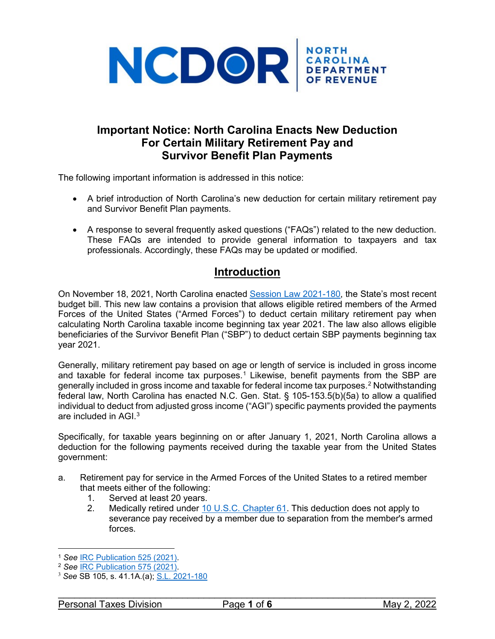

# **Important Notice: North Carolina Enacts New Deduction For Certain Military Retirement Pay and Survivor Benefit Plan Payments**

The following important information is addressed in this notice:

- A brief introduction of North Carolina's new deduction for certain military retirement pay and Survivor Benefit Plan payments.
- A response to several frequently asked questions ("FAQs") related to the new deduction. These FAQs are intended to provide general information to taxpayers and tax professionals. Accordingly, these FAQs may be updated or modified.

# **Introduction**

On November 18, 2021, North Carolina enacted [Session Law 2021-180,](https://ncleg.gov/EnactedLegislation/SessionLaws/HTML/2021-2022/SL2021-180.html) the State's most recent budget bill. This new law contains a provision that allows eligible retired members of the Armed Forces of the United States ("Armed Forces") to deduct certain military retirement pay when calculating North Carolina taxable income beginning tax year 2021. The law also allows eligible beneficiaries of the Survivor Benefit Plan ("SBP") to deduct certain SBP payments beginning tax year 2021.

Generally, military retirement pay based on age or length of service is included in gross income and taxable for federal income tax purposes.<sup>[1](#page-0-0)</sup> Likewise, benefit payments from the SBP are generally included in gross income and taxable for federal income tax purposes.<sup>[2](#page-0-1)</sup> Notwithstanding federal law, North Carolina has enacted N.C. Gen. Stat. § 105-153.5(b)(5a) to allow a qualified individual to deduct from adjusted gross income ("AGI") specific payments provided the payments are included in AGI.<sup>[3](#page-0-2)</sup>

Specifically, for taxable years beginning on or after January 1, 2021, North Carolina allows a deduction for the following payments received during the taxable year from the United States government:

- a. Retirement pay for service in the Armed Forces of the United States to a retired member that meets either of the following:
	- 1. Served at least 20 years.
	- 2. Medically retired under [10 U.S.C. Chapter 61.](https://www.law.cornell.edu/uscode/text/10/subtitle-A/part-II/chapter-61?msclkid=1cbf7185c1d911ec86a959647fc15c06) This deduction does not apply to severance pay received by a member due to separation from the member's armed forces.

<span id="page-0-0"></span><sup>&</sup>lt;sup>1</sup> See IRC Publication 525 (2021).

<span id="page-0-1"></span><sup>1</sup> *See* [IRC Publication 525 \(2021\).](https://www.irs.gov/pub/irs-pdf/p525.pdf) 2 *See* [IRC Publication 575 \(2021\).](https://www.irs.gov/pub/irs-pdf/p575.pdf)

<span id="page-0-2"></span><sup>3</sup> *See* SB 105, s. 41.1A.(a); [S.L. 2021-180](https://ncleg.gov/EnactedLegislation/SessionLaws/PDF/2021-2022/SL2021-180.pdf)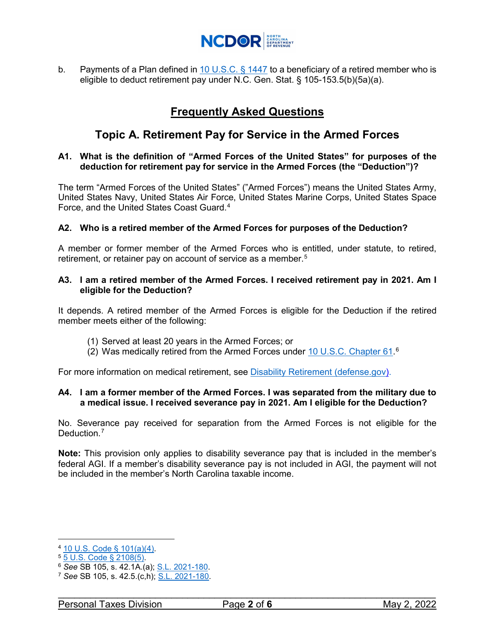

b. Payments of a Plan defined in  $10$  U.S.C. § 1447 to a beneficiary of a retired member who is eligible to deduct retirement pay under N.C. Gen. Stat. § 105-153.5(b)(5a)(a).

# **Frequently Asked Questions**

# **Topic A. Retirement Pay for Service in the Armed Forces**

### **A1. What is the definition of "Armed Forces of the United States" for purposes of the deduction for retirement pay for service in the Armed Forces (the "Deduction")?**

The term "Armed Forces of the United States" ("Armed Forces") means the United States Army, United States Navy, United States Air Force, United States Marine Corps, United States Space Force, and the United States Coast Guard.<sup>[4](#page-1-0)</sup>

### **A2. Who is a retired member of the Armed Forces for purposes of the Deduction?**

A member or former member of the Armed Forces who is entitled, under statute, to retired, retirement, or retainer pay on account of service as a member. [5](#page-1-1)

### **A3. I am a retired member of the Armed Forces. I received retirement pay in 2021. Am I eligible for the Deduction?**

It depends. A retired member of the Armed Forces is eligible for the Deduction if the retired member meets either of the following:

- (1) Served at least 20 years in the Armed Forces; or
- (2) Was medically retired from the Armed Forces under **10 U.S.C. Chapter [6](#page-1-2)1.**<sup>6</sup>

For more information on medical retirement, see [Disability Retirement \(defense.gov\).](https://militarypay.defense.gov/Pay/Retirement/Disability.aspx)

### **A4. I am a former member of the Armed Forces. I was separated from the military due to a medical issue. I received severance pay in 2021. Am I eligible for the Deduction?**

No. Severance pay received for separation from the Armed Forces is not eligible for the Deduction.<sup>[7](#page-1-3)</sup>

**Note:** This provision only applies to disability severance pay that is included in the member's federal AGI. If a member's disability severance pay is not included in AGI, the payment will not be included in the member's North Carolina taxable income.

 $\overline{a}$ 

<span id="page-1-1"></span><span id="page-1-0"></span><sup>4 &</sup>lt;u>[10 U.S. Code § 101\(](https://www.law.cornell.edu/uscode/text/10/101?msclkid=9f2e2733c04d11ec84dcae501b3271dc)a)(4)</u>.<br><sup>5</sup> <u>[5 U.S. Code § 2108\(](https://www.law.cornell.edu/uscode/text/5/2108#5)5)</u>.<br><sup>6</sup> See SB 105, s. 42.1A.(a); <u>S.L. 2021-180</u>.

<span id="page-1-3"></span><span id="page-1-2"></span><sup>&</sup>lt;sup>7</sup> See SB 105, s. 42.5.(c,h); <u>S.L. 2021-180</u>.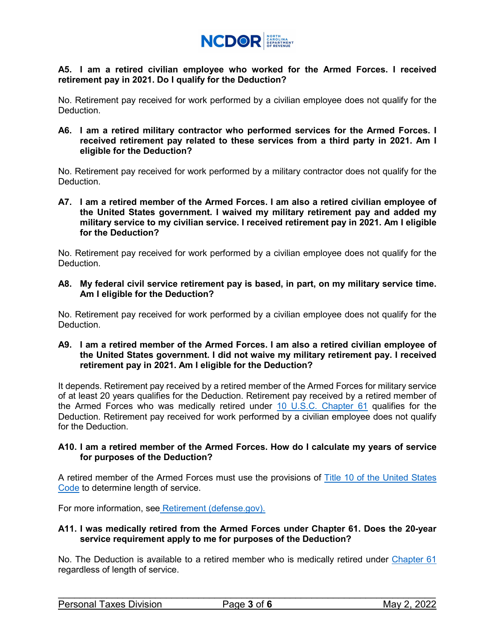

### **A5. I am a retired civilian employee who worked for the Armed Forces. I received retirement pay in 2021. Do I qualify for the Deduction?**

No. Retirement pay received for work performed by a civilian employee does not qualify for the Deduction.

**A6. I am a retired military contractor who performed services for the Armed Forces. I received retirement pay related to these services from a third party in 2021. Am I eligible for the Deduction?** 

No. Retirement pay received for work performed by a military contractor does not qualify for the **Deduction** 

**A7. I am a retired member of the Armed Forces. I am also a retired civilian employee of the United States government. I waived my military retirement pay and added my military service to my civilian service. I received retirement pay in 2021. Am I eligible for the Deduction?**

No. Retirement pay received for work performed by a civilian employee does not qualify for the Deduction.

**A8. My federal civil service retirement pay is based, in part, on my military service time. Am I eligible for the Deduction?** 

No. Retirement pay received for work performed by a civilian employee does not qualify for the Deduction.

**A9. I am a retired member of the Armed Forces. I am also a retired civilian employee of the United States government. I did not waive my military retirement pay. I received retirement pay in 2021. Am I eligible for the Deduction?**

It depends. Retirement pay received by a retired member of the Armed Forces for military service of at least 20 years qualifies for the Deduction. Retirement pay received by a retired member of the Armed Forces who was medically retired under [10 U.S.C. Chapter 61](https://www.law.cornell.edu/uscode/text/10/subtitle-A/part-II/chapter-61?msclkid=aa4670d8c1d511ecbea073a9f678cd13) qualifies for the Deduction. Retirement pay received for work performed by a civilian employee does not qualify for the Deduction.

### **A10. I am a retired member of the Armed Forces. How do I calculate my years of service for purposes of the Deduction?**

A retired member of the Armed Forces must use the provisions of [Title 10 of the United States](https://www.law.cornell.edu/uscode/text/10?msclkid=d1866a12c06011eca070c0cde4ce8bb4)  [Code](https://www.law.cornell.edu/uscode/text/10?msclkid=d1866a12c06011eca070c0cde4ce8bb4) to determine length of service.

For more information, see [Retirement \(defense.gov\).](https://militarypay.defense.gov/Pay/Retirement/calc/msclkid/25051ccec1e511ec91eb587305a18381/)

### **A11. I was medically retired from the Armed Forces under Chapter 61. Does the 20-year service requirement apply to me for purposes of the Deduction?**

No. The Deduction is available to a retired member who is medically retired under [Chapter 61](https://www.law.cornell.edu/uscode/text/10/subtitle-A/part-II/chapter-61?msclkid=ae409f82c04f11ec95c039ec532a7f72) regardless of length of service.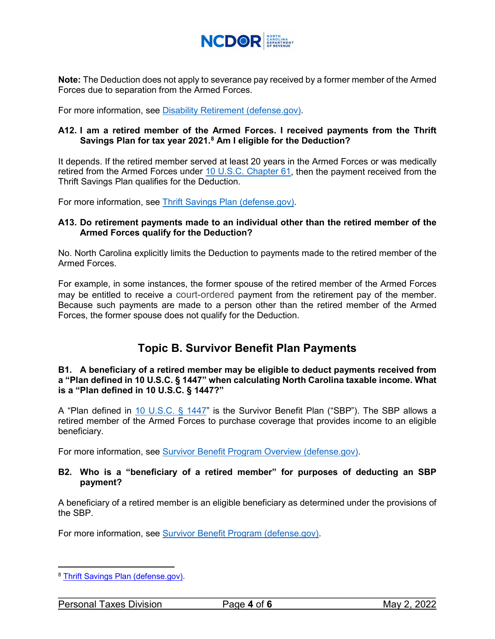

**Note:** The Deduction does not apply to severance pay received by a former member of the Armed Forces due to separation from the Armed Forces.

For more information, see [Disability Retirement \(defense.gov\).](https://militarypay.defense.gov/Pay/Retirement/Disability.aspx)

### **A12. I am a retired member of the Armed Forces. I received payments from the Thrift Savings Plan for tax year 2021.[8](#page-3-0) Am I eligible for the Deduction?**

It depends. If the retired member served at least 20 years in the Armed Forces or was medically retired from the Armed Forces under [10 U.S.C. Chapter 61,](https://www.law.cornell.edu/uscode/text/10?msclkid=82982900c1eb11ec8cfaf5790934a254) then the payment received from the Thrift Savings Plan qualifies for the Deduction.

For more information, see [Thrift Savings Plan \(defense.gov\).](https://militarypay.defense.gov/Benefits/Thrift-Savings-Plan/)

### **A13. Do retirement payments made to an individual other than the retired member of the Armed Forces qualify for the Deduction?**

No. North Carolina explicitly limits the Deduction to payments made to the retired member of the Armed Forces.

For example, in some instances, the former spouse of the retired member of the Armed Forces may be entitled to receive a court-ordered payment from the retirement pay of the member. Because such payments are made to a person other than the retired member of the Armed Forces, the former spouse does not qualify for the Deduction.

# **Topic B. Survivor Benefit Plan Payments**

#### <span id="page-3-1"></span>**B1. A beneficiary of a retired member may be eligible to deduct payments received from a "Plan defined in 10 U.S.C. § 1447" when calculating North Carolina taxable income. What is a "Plan defined in 10 U.S.C. § 1447?"**

A "Plan defined in [10 U.S.C. § 1447"](https://www.law.cornell.edu/uscode/text/10/1447?msclkid=15448831c1e711ec8f1de1ed946230aa) is the Survivor Benefit Plan ("SBP"). The SBP allows a retired member of the Armed Forces to purchase coverage that provides income to an eligible beneficiary.

For more information, see [Survivor Benefit Program Overview \(defense.gov\).](https://militarypay.defense.gov/Benefits/Survivor-Benefit-Program/Overview/)

### **B2. Who is a "beneficiary of a retired member" for purposes of deducting an SBP payment?**

A beneficiary of a retired member is an eligible beneficiary as determined under the provisions of the SBP.

For more information, see Survivor [Benefit Program \(defense.gov\).](https://militarypay.defense.gov/Benefits/Survivor-Benefit-Program/)

 $\overline{a}$ 

<span id="page-3-0"></span><sup>8</sup> [Thrift Savings Plan \(defense.gov\).](https://militarypay.defense.gov/Benefits/Thrift-Savings-Plan/)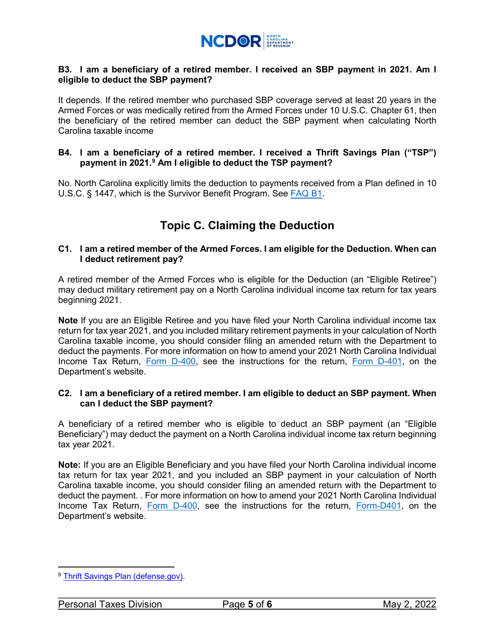

### **B3. I am a beneficiary of a retired member. I received an SBP payment in 2021. Am I eligible to deduct the SBP payment?**

It depends. If the retired member who purchased SBP coverage served at least 20 years in the Armed Forces or was medically retired from the Armed Forces under 10 U.S.C. Chapter 61, then the beneficiary of the retired member can deduct the SBP payment when calculating North Carolina taxable income

#### **B4. I am a beneficiary of a retired member. I received a Thrift Savings Plan ("TSP") payment in 2021.[9](#page-4-0) Am I eligible to deduct the TSP payment?**

No. North Carolina explicitly limits the deduction to payments received from a Plan defined in 10 U.S.C. § 1447, which is the Survivor Benefit Program. See [FAQ B1.](#page-3-1)

# **Topic C. Claiming the Deduction**

### **C1. I am a retired member of the Armed Forces. I am eligible for the Deduction. When can I deduct retirement pay?**

A retired member of the Armed Forces who is eligible for the Deduction (an "Eligible Retiree") may deduct military retirement pay on a North Carolina individual income tax return for tax years beginning 2021.

**Note** If you are an Eligible Retiree and you have filed your North Carolina individual income tax return for tax year 2021, and you included military retirement payments in your calculation of North Carolina taxable income, you should consider filing an amended return with the Department to deduct the payments. For more information on how to amend your 2021 North Carolina Individual Income Tax Return, [Form D-400,](https://www.ncdor.gov/2021-d-400-individual-income-tax-return) see the instructions for the return, [Form D-401,](https://www.ncdor.gov/2021-d-401-individual-income-tax-instructions-0) on the Department's website.

### **C2. I am a beneficiary of a retired member. I am eligible to deduct an SBP payment. When can I deduct the SBP payment?**

A beneficiary of a retired member who is eligible to deduct an SBP payment (an "Eligible Beneficiary") may deduct the payment on a North Carolina individual income tax return beginning tax year 2021.

**Note:** If you are an Eligible Beneficiary and you have filed your North Carolina individual income tax return for tax year 2021, and you included an SBP payment in your calculation of North Carolina taxable income, you should consider filing an amended return with the Department to deduct the payment. . For more information on how to amend your 2021 North Carolina Individual Income Tax Return, [Form D-400,](https://www.ncdor.gov/2021-d-400-individual-income-tax-return) see the instructions for the return, [Form-D401,](https://www.ncdor.gov/2021-d-401-individual-income-tax-instructions-0) on the Department's website.

<span id="page-4-0"></span> $\overline{a}$ <sup>9</sup> [Thrift Savings Plan \(defense.gov\).](https://militarypay.defense.gov/Benefits/Thrift-Savings-Plan/)